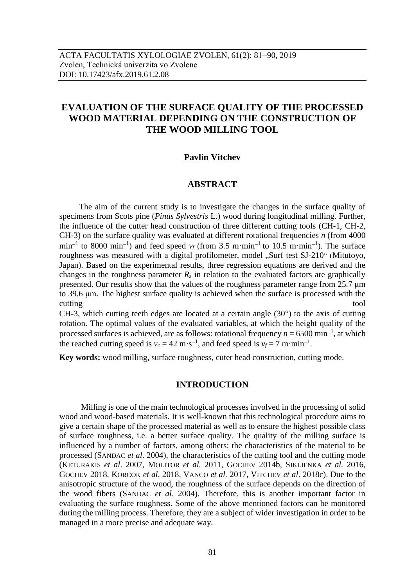# **EVALUATION OF THE SURFACE QUALITY OF THE PROCESSED WOOD MATERIAL DEPENDING ON THE CONSTRUCTION OF THE WOOD MILLING TOOL**

### **Pavlin Vitchev**

#### **ABSTRACT**

The aim of the current study is to investigate the changes in the surface quality of specimens from Scots pine (*Pinus Sylvestris* L.) wood during longitudinal milling. Further, the influence of the cutter head construction of three different cutting tools (CH-1, CH-2, CH-3) on the surface quality was evaluated at different rotational frequencies *n* (from 4000  $\min^{-1}$  to 8000  $\min^{-1}$ ) and feed speed  $v_f$  (from 3.5 m·min<sup>-1</sup> to 10.5 m·min<sup>-1</sup>). The surface roughness was measured with a digital profilometer, model "Surf test SJ-210" (Mitutoyo, Japan). Based on the experimental results, three regression equations are derived and the changes in the roughness parameter  $R_z$  in relation to the evaluated factors are graphically presented. Our results show that the values of the roughness parameter range from 25.7 μm to 39.6 μm. The highest surface quality is achieved when the surface is processed with the cutting tool

CH-3, which cutting teeth edges are located at a certain angle  $(30^{\circ})$  to the axis of cutting rotation. The optimal values of the evaluated variables, at which the height quality of the processed surfaces is achieved, are as follows: rotational frequency  $n = 6500 \text{ min}^{-1}$ , at which the reached cutting speed is  $v_c = 42 \text{ m} \cdot \text{s}^{-1}$ , and feed speed is  $v_f = 7 \text{ m} \cdot \text{min}^{-1}$ .

**Key words:** wood milling, surface roughness, cuter head construction, cutting mode.

### **INTRODUCTION**

Milling is one of the main technological processes involved in the processing of solid wood and wood-based materials. It is well-known that this technological procedure aims to give a certain shape of the processed material as well as to ensure the highest possible class of surface roughness, i.e. a better surface quality. The quality of the milling surface is influenced by a number of factors, among others: the characteristics of the material to be processed (SANDAC *et al*. 2004), the characteristics of the cutting tool and the cutting mode (KETURAKIS *et al*. 2007, MOLITOR *et al.* 2011, GOCHEV 2014b, SIKLIENKA *et al.* 2016, GOCHEV 2018, KORCOK *et al*. 2018, VANCO *et al.* 2017, VITCHEV *et al*. 2018c). Due to the anisotropic structure of the wood, the roughness of the surface depends on the direction of the wood fibers (SANDAC *et al*. 2004). Therefore, this is another important factor in evaluating the surface roughness. Some of the above mentioned factors can be monitored during the milling process. Therefore, they are a subject of wider investigation in order to be managed in a more precise and adequate way.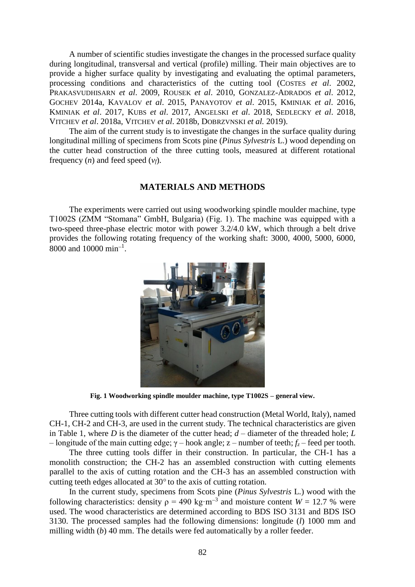A number of scientific studies investigate the changes in the processed surface quality during longitudinal, transversal and vertical (profile) milling. Their main objectives are to provide a higher surface quality by investigating and evaluating the optimal parameters, processing conditions and characteristics of the cutting tool (COSTES *et al*. 2002, PRAKASVUDHISARN *et al*. 2009, ROUSEK *et al*. 2010, GONZALEZ-ADRADOS *et al*. 2012, GOCHEV 2014a, KAVALOV *et al*. 2015, РANAYOTOV *et al*. 2015, KMINIAK *et al*. 2016, KMINIAK *et al*. 2017, KUBS *et al*. 2017, ANGELSKI *et al*. 2018, SEDLECKY *et al*. 2018, VITCHEV *et al*. 2018a, VITCHEV *et al*. 2018b, DOBRZVNSKI *et al.* 2019).

The aim of the current study is to investigate the changes in the surface quality during longitudinal milling of specimens from Scots pine (*Pinus Sylvestris* L.) wood depending on the cutter head construction of the three cutting tools, measured at different rotational frequency  $(n)$  and feed speed  $(v_f)$ .

# **MATERIALS AND METHODS**

The experiments were carried out using woodworking spindle moulder machine, type T1002S (ZMM "Stomana" GmbH, Bulgaria) (Fig. 1). The machine was equipped with a two-speed three-phase electric motor with power 3.2/4.0 kW, which through a belt drive provides the following rotating frequency of the working shaft: 3000, 4000, 5000, 6000, 8000 and  $10000 \text{ min}^{-1}$ .



**Fig. 1 Woodworking spindle moulder machine, type T1002S – general view.**

Three cutting tools with different cutter head construction (Metal World, Italy), named CH-1, CH-2 and CH-3, are used in the current study. The technical characteristics are given in Table 1, where  $D$  is the diameter of the cutter head;  $d$  – diameter of the threaded hole;  $L$ – longitude of the main cutting edge;  $γ$  – hook angle;  $z$  – number of teeth;  $f_z$  – feed per tooth.

The three cutting tools differ in their construction. In particular, the CH-1 has a monolith construction; the CH-2 has an assembled construction with cutting elements parallel to the axis of cutting rotation and the CH-3 has an assembled construction with cutting teeth edges allocated at 30° to the axis of cutting rotation.

In the current study, specimens from Scots pine (*Pinus Sylvestris* L.) wood with the following characteristics: density  $\rho = 490 \text{ kg} \cdot \text{m}^{-3}$  and moisture content  $W = 12.7$  % were used. The wood characteristics are determined according to BDS ISO 3131 and BDS ISO 3130. The processed samples had the following dimensions: longitude (*l*) 1000 mm and milling width (*b*) 40 mm. The details were fed automatically by a roller feeder.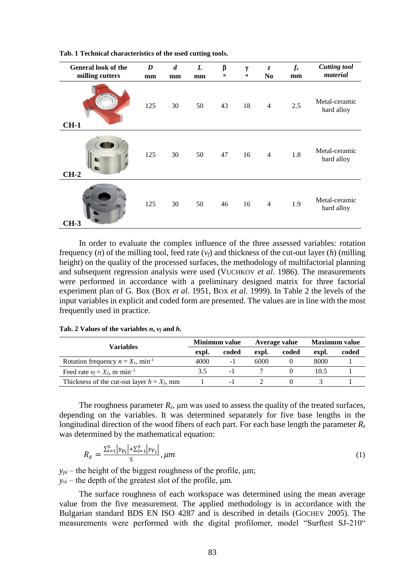| <b>General look of the</b><br>milling cutters | D<br>mm | $\boldsymbol{d}$<br>mm | L<br>mm | β<br>$\circ$ | γ<br>$\bullet$ | $\overline{z}$<br>N <sub>0</sub> | $f_z$<br>mm | <b>Cutting tool</b><br>material |
|-----------------------------------------------|---------|------------------------|---------|--------------|----------------|----------------------------------|-------------|---------------------------------|
| <b>STREET</b><br>$CH-1$                       | 125     | 30                     | 50      | 43           | 18             | $\overline{4}$                   | 2.5         | Metal-ceramic<br>hard alloy     |
| $CH-2$                                        | 125     | 30                     | 50      | 47           | 16             | $\overline{4}$                   | 1.8         | Metal-ceramic<br>hard alloy     |
| $CH-3$                                        | 125     | 30                     | 50      | 46           | 16             | $\overline{4}$                   | 1.9         | Metal-ceramic<br>hard alloy     |

**Tab. 1 Technical characteristics of the used cutting tools.**

In order to evaluate the complex influence of the three assessed variables: rotation frequency (*n*) of the milling tool, feed rate (*vf*) and thickness of the cut-out layer (*h*) (milling height) on the quality of the processed surfaces, the methodology of multifactorial planning and subsequent regression analysis were used (VUCHKOV *et al*. 1986). The measurements were performed in accordance with a preliminary designed matrix for three factorial experiment plan of G. Box (BOX *et al*. 1951, BOX *et al*. 1999). In Table 2 the levels of the input variables in explicit and coded form are presented. The values are in line with the most frequently used in practice.

| Variables                                        |       | <b>Minimum</b> value |       | Average value | <b>Maximum</b> value |       |
|--------------------------------------------------|-------|----------------------|-------|---------------|----------------------|-------|
|                                                  | expl. | coded                | expl. | coded         | expl.                | coded |
| Rotation frequency $n = X_1$ , min <sup>-1</sup> | 4000  | - 1                  | 6000  |               | 8000                 |       |
| Feed rate $v_f = X_2$ , m·min <sup>-1</sup>      | 3.5   |                      |       |               | 10.5                 |       |
| Thickness of the cut-out layer $h = X_3$ , mm    |       | - 1                  |       |               |                      |       |

**Tab. 2 Values of the variables** *n***,** *v<sup>f</sup>* **and** *h.*

The roughness parameter  $R_z$ ,  $\mu$ m was used to assess the quality of the treated surfaces, depending on the variables. It was determined separately for five base lengths in the longitudinal direction of the wood fibers of each part. For each base length the parameter  $R_z$ was determined by the mathematical equation:

$$
R_{z} = \frac{\sum_{i=1}^{5} |y_{p_i}| + \sum_{i=1}^{5} |y_{V_i}|}{5}, \mu m
$$
\n(1)

 $y_{pi}$  – the height of the biggest roughness of the profile,  $\mu$ m;  $y_{vi}$  – the depth of the greatest slot of the profile,  $\mu$ m.

The surface roughness of each workspace was determined using the mean average value from the five measurement. The applied methodology is in accordance with the Bulgarian standard BDS EN ISO 4287 and is described in details (GOCHEV 2005). The measurements were performed with the digital profilomer, model "Surftest SJ-210"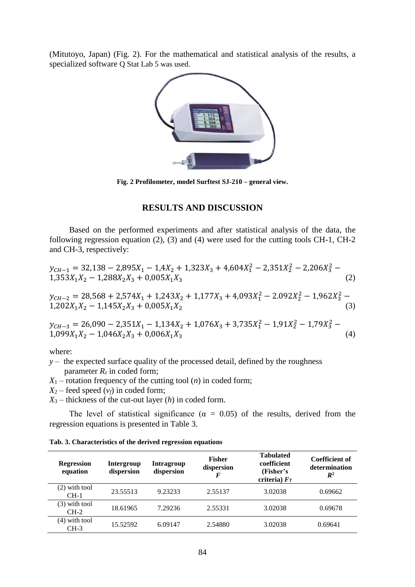(Mitutoyo, Japan) (Fig. 2). For the mathematical and statistical analysis of the results, a specialized software Q Stat Lab 5 was used.



**Fig. 2 Profilometer, model Surftest SJ-210 – general view.**

## **RESULTS AND DISCUSSION**

Based on the performed experiments and after statistical analysis of the data, the following regression equation (2), (3) and (4) were used for the cutting tools CH-1, CH-2 and CH-3, respectively:

 $y_{CH-1} = 32{,}138 - 2{,}895X_1 - 1{,}4X_2 + 1{,}323X_3 + 4{,}604X_1^2 - 2{,}351X_2^2 - 2{,}206X_3^2 1,353X_1X_2 - 1,288X_2X_3 + 0,005X_1X_3$  (2)

$$
y_{CH-2} = 28,568 + 2,574X_1 + 1,243X_2 + 1,177X_3 + 4,093X_1^2 - 2.092X_2^2 - 1,962X_3^2 - 1,202X_1X_2 - 1,145X_2X_3 + 0,005X_1X_2
$$
\n(3)

 $y_{CH-3} = 26,090 - 2,351X_1 - 1,134X_2 + 1,076X_3 + 3,735X_1^2 - 1,91X_2^2 - 1,79X_3^2$  $1,099X_1X_2 - 1,046X_2X_3 + 0,006X_1X_3$  (4)

where:

*y* – the expected surface quality of the processed detail, defined by the roughness parameter  $R_z$  in coded form;

 $X_1$  – rotation frequency of the cutting tool  $(n)$  in coded form;

 $X_2$  – feed speed  $(v_f)$  in coded form;

*X*<sup>3</sup> – thickness of the cut-out layer (*h*) in coded form.

The level of statistical significance ( $\alpha = 0.05$ ) of the results, derived from the regression equations is presented in Table 3.

| <b>Regression</b><br>equation | Intergroup<br>dispersion | <b>Intragroup</b><br>dispersion | <b>Fisher</b><br>dispersion | <b>Tabulated</b><br>coefficient<br>(Fisher's<br>criteria) $F_T$ | Coefficient of<br>determination<br>$\mathbb{R}^2$ |
|-------------------------------|--------------------------|---------------------------------|-----------------------------|-----------------------------------------------------------------|---------------------------------------------------|
| $(2)$ with tool<br>$CH-1$     | 23.55513                 | 9.23233                         | 2.55137                     | 3.02038                                                         | 0.69662                                           |
| with tool<br>(3)<br>$CH-2$    | 18.61965                 | 7.29236                         | 2.55331                     | 3.02038                                                         | 0.69678                                           |
| $(4)$ with tool<br>$CH-3$     | 15.52592                 | 6.09147                         | 2.54880                     | 3.02038                                                         | 0.69641                                           |

**Tab. 3. Characteristics of the derived regression equations**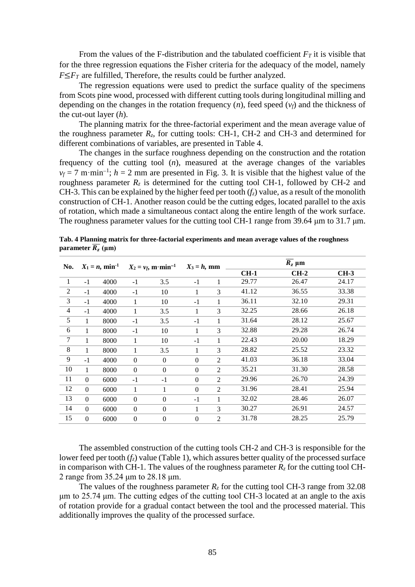From the values of the F-distribution and the tabulated coefficient  $F_T$  it is visible that for the three regression equations the Fisher criteria for the adequacy of the model, namely  $F \leq F_T$  are fulfilled, Therefore, the results could be further analyzed.

The regression equations were used to predict the surface quality of the specimens from Scots pine wood, processed with different cutting tools during longitudinal milling and depending on the changes in the rotation frequency (*n*), feed speed (*vf*) and the thickness of the cut-out layer (*h*).

The planning matrix for the three-factorial experiment and the mean average value of the roughness parameter  $R_z$ , for cutting tools: CH-1, CH-2 and CH-3 and determined for different combinations of variables, are presented in Table 4.

The changes in the surface roughness depending on the construction and the rotation frequency of the cutting tool (*n*), measured at the average changes of the variables  $v_f = 7$  m·min<sup>-1</sup>;  $h = 2$  mm are presented in Fig. 3. It is visible that the highest value of the roughness parameter  $R_z$  is determined for the cutting tool CH-1, followed by CH-2 and CH-3. This can be explained by the higher feed per tooth  $(f<sub>z</sub>)$  value, as a result of the monolith construction of CH-1. Another reason could be the cutting edges, located parallel to the axis of rotation, which made a simultaneous contact along the entire length of the work surface. The roughness parameter values for the cutting tool CH-1 range from 39.64 μm to 31.7 μm.

| $X_1 = n$ , min <sup>-1</sup><br>No. |      | $X_2 = v_f$ , m·min <sup>-1</sup> |                  | $X_3 = h$ , mm |                | $\overline{R_z}$ µm |       |        |
|--------------------------------------|------|-----------------------------------|------------------|----------------|----------------|---------------------|-------|--------|
|                                      |      |                                   |                  |                |                | $CH-1$              | CH-2  | $CH-3$ |
| $-1$                                 | 4000 | $-1$                              | 3.5              | $-1$           | 1              | 29.77               | 26.47 | 24.17  |
| $-1$                                 | 4000 | $-1$                              | 10               | 1              | 3              | 41.12               | 36.55 | 33.38  |
| $-1$                                 | 4000 | 1                                 | 10               | $-1$           | 1              | 36.11               | 32.10 | 29.31  |
| $-1$                                 | 4000 | 1                                 | 3.5              | 1              | 3              | 32.25               | 28.66 | 26.18  |
| 1                                    | 8000 | $-1$                              | 3.5              | $-1$           | 1              | 31.64               | 28.12 | 25.67  |
| 1                                    | 8000 | $-1$                              | 10               | 1              | 3              | 32.88               | 29.28 | 26.74  |
| 1                                    | 8000 | 1                                 | 10               | $-1$           | 1              | 22.43               | 20.00 | 18.29  |
| 1                                    | 8000 | 1                                 | 3.5              | 1              | 3              | 28.82               | 25.52 | 23.32  |
| $-1$                                 | 4000 | $\mathbf{0}$                      | $\Omega$         | $\Omega$       | $\overline{c}$ | 41.03               | 36.18 | 33.04  |
| 1                                    | 8000 | $\Omega$                          | $\Omega$         | $\Omega$       | $\mathfrak{D}$ | 35.21               | 31.30 | 28.58  |
| $\theta$                             | 6000 | $-1$                              | $-1$             | $\Omega$       | $\mathfrak{D}$ | 29.96               | 26.70 | 24.39  |
| $\mathbf{0}$                         | 6000 | 1                                 | 1                | $\Omega$       | $\overline{c}$ | 31.96               | 28.41 | 25.94  |
| $\Omega$                             | 6000 | $\mathbf{0}$                      | $\Omega$         | $-1$           | 1              | 32.02               | 28.46 | 26.07  |
| $\theta$                             | 6000 | $\overline{0}$                    | $\Omega$         | 1              | 3              | 30.27               | 26.91 | 24.57  |
| $\Omega$                             | 6000 | $\overline{0}$                    | $\boldsymbol{0}$ | $\Omega$       | $\overline{2}$ | 31.78               | 28.25 | 25.79  |
|                                      |      |                                   |                  |                |                |                     |       |        |

**Tab. 4 Planning matrix for three-factorial experiments and mean average values of the roughness parameter**  $\overline{R_z}$  ( $\mu$ m)

The assembled construction of the cutting tools CH-2 and CH-3 is responsible for the lower feed per tooth  $(f<sub>z</sub>)$  value (Table 1), which assures better quality of the processed surface in comparison with CH-1. The values of the roughness parameter  $R<sub>z</sub>$  for the cutting tool CH-2 range from 35.24 μm to 28.18 μm.

The values of the roughness parameter  $R_z$  for the cutting tool CH-3 range from 32.08 μm to 25.74 μm. The cutting edges of the cutting tool CH-3 located at an angle to the axis of rotation provide for a gradual contact between the tool and the processed material. This additionally improves the quality of the processed surface.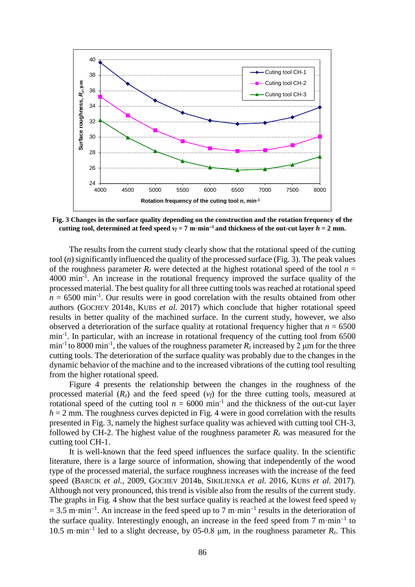

**Fig. 3 Changes in the surface quality depending on the construction and the rotation frequency of the cutting tool, determined at feed speed**  $v_f = 7 \text{ m} \cdot \text{min}^{-1}$  **and thickness of the out-cut layer**  $h = 2 \text{ mm}$ **.** 

The results from the current study clearly show that the rotational speed of the cutting tool (*n*) significantly influenced the quality of the processed surface (Fig. 3). The peak values of the roughness parameter  $R_z$  were detected at the highest rotational speed of the tool  $n =$ 4000 min<sup>-1</sup>. An increase in the rotational frequency improved the surface quality of the processed material. The best quality for all three cutting tools was reached at rotational speed  $n = 6500$  min<sup>-1</sup>. Our results were in good correlation with the results obtained from other authors (GOCHEV 2014B, KUBS *et al.* 2017) which conclude that higher rotational speed results in better quality of the machined surface. In the current study, however, we also observed a deterioration of the surface quality at rotational frequency higher that  $n = 6500$ min<sup>-1</sup>. In particular, with an increase in rotational frequency of the cutting tool from 6500 min<sup>-1</sup> to 8000 min<sup>-1</sup>, the values of the roughness parameter  $R_z$  increased by 2 µm for the three cutting tools. The deterioration of the surface quality was probably due to the changes in the dynamic behavior of the machine and to the increased vibrations of the cutting tool resulting from the higher rotational speed.

Figure 4 presents the relationship between the changes in the roughness of the processed material  $(R_z)$  and the feed speed  $(v_f)$  for the three cutting tools, measured at rotational speed of the cutting tool  $n = 6000$  min<sup>-1</sup> and the thickness of the out-cut layer  $h = 2$  mm. The roughness curves depicted in Fig. 4 were in good correlation with the results presented in Fig. 3, namely the highest surface quality was achieved with cutting tool CH-3, followed by CH-2. The highest value of the roughness parameter  $R_z$  was measured for the cutting tool CH-1.

It is well-known that the feed speed influences the surface quality. In the scientific literature, there is a large source of information, showing that independently of the wood type of the processed material, the surface roughness increases with the increase of the feed speed (BARCIK *et al.*, 2009, GOCHEV 2014b, SIKILIENKA *et al.* 2016, KUBS *et al.* 2017). Although not very pronounced, this trend is visible also from the results of the current study. The graphs in Fig. 4 show that the best surface quality is reached at the lowest feed speed *v<sup>f</sup>*  $= 3.5$  m·min<sup>-1</sup>. An increase in the feed speed up to 7 m·min<sup>-1</sup> results in the deterioration of the surface quality. Interestingly enough, an increase in the feed speed from  $7 \text{ m} \cdot \text{min}^{-1}$  to 10.5 m·min<sup>-1</sup> led to a slight decrease, by 05-0.8  $\mu$ m, in the roughness parameter  $R_z$ . This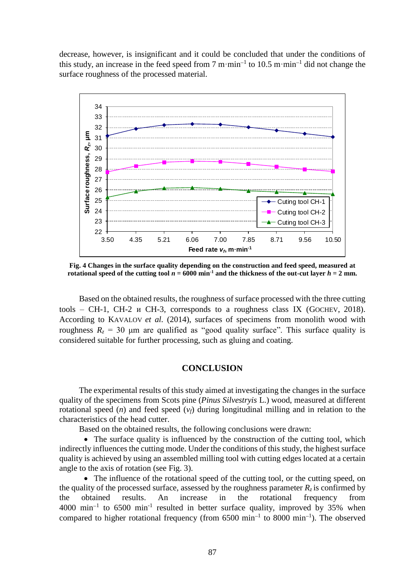decrease, however, is insignificant and it could be concluded that under the conditions of this study, an increase in the feed speed from 7 m·min<sup>-1</sup> to 10.5 m·min<sup>-1</sup> did not change the surface roughness of the processed material.



**Fig. 4 Changes in the surface quality depending on the construction and feed speed, measured at rotational speed of the cutting tool**  $n = 6000$  **min<sup>-1</sup> and the thickness of the out-cut layer**  $h = 2$  **mm.** 

Based on the obtained results, the roughness of surface processed with the three cutting tools – CH-1, CH-2  $\mu$  CH-3, corresponds to a roughness class IX (GOCHEV, 2018). According to KAVALOV *et al.* (2014), surfaces of specimens from monolith wood with roughness  $R<sub>z</sub> = 30$  μm are qualified as "good quality surface". This surface quality is considered suitable for further processing, such as gluing and coating.

#### **CONCLUSION**

The experimental results of this study aimed at investigating the changes in the surface quality of the specimens from Scots pine (*Pinus Silvestryis* L.) wood, measured at different rotational speed  $(n)$  and feed speed  $(v_f)$  during longitudinal milling and in relation to the characteristics of the head cutter.

Based on the obtained results, the following conclusions were drawn:

• The surface quality is influenced by the construction of the cutting tool, which indirectly influences the cutting mode. Under the conditions of this study, the highest surface quality is achieved by using an assembled milling tool with cutting edges located at a certain angle to the axis of rotation (see Fig. 3).

• The influence of the rotational speed of the cutting tool, or the cutting speed, on the quality of the processed surface, assessed by the roughness parameter  $R_z$  is confirmed by the obtained results. An increase in the rotational frequency from  $4000 \text{ min}^{-1}$  to  $6500 \text{ min}^{-1}$  resulted in better surface quality, improved by 35% when compared to higher rotational frequency (from  $6500 \text{ min}^{-1}$  to  $8000 \text{ min}^{-1}$ ). The observed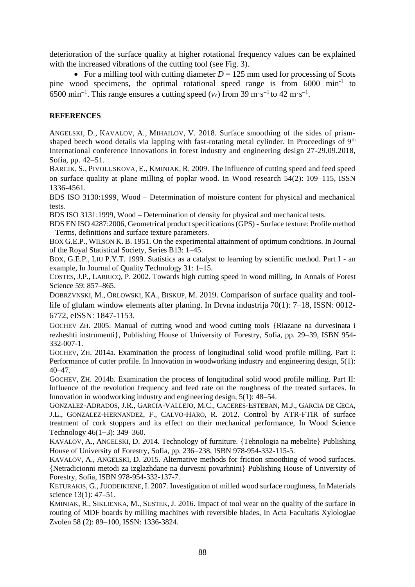deterioration of the surface quality at higher rotational frequency values can be explained with the increased vibrations of the cutting tool (see Fig. 3).

For a milling tool with cutting diameter  $D = 125$  mm used for processing of Scots pine wood specimens, the optimal rotational speed range is from 6000 min<sup>-1</sup> to 6500 min<sup>-1</sup>. This range ensures a cutting speed  $(v_c)$  from 39 m·s<sup>-1</sup> to 42 m·s<sup>-1</sup>.

### **REFERENCES**

ANGELSKI, D., KAVALOV, A., MIHAILOV, V. 2018. Surface smoothing of the sides of prismshaped beech wood details via lapping with fast-rotating metal cylinder. In Proceedings of 9<sup>th</sup> International conference Innovations in forest industry and engineering design 27-29.09.2018, Sofia, pp. 42-51.

BARCIK, S., PIVOLUSKOVA, E., KMINIAK, R. 2009. The influence of cutting speed and feed speed on surface quality at plane milling of poplar wood. In Wood research 54(2): 109–115, ISSN 1336-4561.

BDS ISO 3130:1999, Wood – Determination of moisture content for physical and mechanical tests

BDS ISO 3131:1999, Wood – Determination of density for physical and mechanical tests.

BDS EN ISO 4287:2006, Geometrical product specifications (GPS) - Surface texture: Profile method – Terms, definitions and surface texture parameters.

BOX G.E.P., WILSON K. B. 1951. On the experimental attainment of optimum conditions. In Journal of the Royal Statistical Society, Series B13: 1–45.

BOX, G.E.P., LIU P.Y.T. 1999. Statistics as a catalyst to learning by scientific method. Part I - an example, In Journal of Quality Technology 31: 1–15.

COSTES, J.P., LARRICQ, P. 2002. Towards high cutting speed in wood milling, In Annals of Forest Science 59: 857–865.

DOBRZVNSKI, M., ORLOWSKI, KA., BISKUP, M. 2019. Comparison of surface quality and toollife of glulam window elements after planing. In Drvna industrija 70(1): 7–18, ISSN: 0012- 6772, eISSN: 1847-1153.

GOCHEV ZH. 2005. Manual of cutting wood and wood cutting tools {Riazane na durvesinata i rezheshti instrumenti}, Publishing House of University of Forestry, Sofia, pp. 29–39, ISBN 954-332-007-1.

GOCHEV, ZH. 2014a. Examination the process of longitudinal solid wood profile milling. Part I: Performance of cutter profile. In Innovation in woodworking industry and engineering design, 5(1): 40–47.

GOCHEV, ZH. 2014b. Examination the process of longitudinal solid wood profile milling. Part II: Influence of the revolution frequency and feed rate on the roughness of the treated surfaces. In Innovation in woodworking industry and engineering design, 5(1): 48–54.

GONZALEZ-ADRADOS, J.R., GARCIA-VALLEJO, M.C., CACERES-ESTEBAN, M.J., GARCIA DE CECA, J.L., GONZALEZ-HERNANDEZ, F., CALVO-HARO, R. 2012. Control by ATR-FTIR of surface treatment of cork stoppers and its effect on their mechanical performance, In Wood Science Technology  $46(1-3)$ : 349–360.

KAVALOV, A., ANGELSKI, D. 2014. Technology of furniture. {Tehnologia na mebelite} Publishing House of University of Forestry, Sofia, pp. 236-238, ISBN 978-954-332-115-5.

KAVALOV, A., ANGELSKI, D. 2015. Alternative methods for friction smoothing of wood surfaces. {Netradicionni metodi za izglazhdane na durvesni povarhnini} Publishing House of University of Forestry, Sofia, ISBN 978-954-332-137-7.

KETURAKIS, G.,JUODEIKIENE, I. 2007. Investigation of milled wood surface roughness, In Materials science 13(1): 47–51.

KMINIAK, R., SIKLIENKA, M., SUSTEK, J. 2016. Impact of tool wear on the quality of the surface in routing of MDF boards by milling machines with reversible blades, In Acta Facultatis Xylologiae Zvolen 58 (2): 89-100, ISSN: 1336-3824.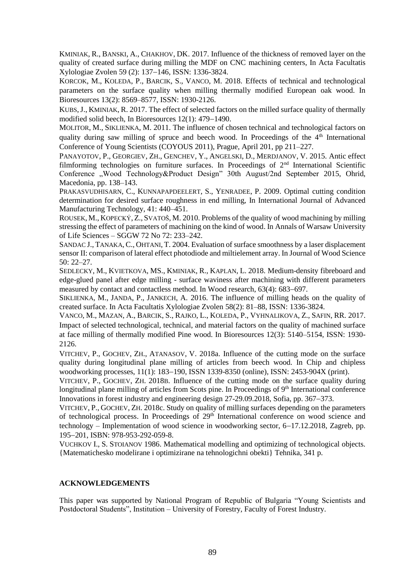KMINIAK, R., BANSKI, A., CHAKHOV, DK. 2017. Influence of the thickness of removed layer on the quality of created surface during milling the MDF on CNC machining centers, In Acta Facultatis Xylologiae Zvolen 59 (2): 137–146, ISSN: 1336-3824.

KORCOK, M., KOLEDA, P., BARCIK, S., VANCO, M. 2018. Effects of technical and technological parameters on the surface quality when milling thermally modified European oak wood. In Bioresources 13(2): 8569–8577, ISSN: 1930-2126.

KUBS,J., KMINIAK, R. 2017. The effect of selected factors on the milled surface quality of thermally modified solid beech. In Bioresources  $12(1)$ : 479–1490.

MOLITOR, M., SIKLIENKA, M. 2011. The influence of chosen technical and technological factors on quality during saw milling of spruce and beech wood. In Proceedings of the  $4<sup>th</sup>$  International Conference of Young Scientists (COYOUS 2011), Prague, April 201, pp 211–227.

РANAYOTOV, P., GEORGIEV, ZH., GENCHEV, Y., ANGELSKI, D., MERDJANOV, V. 2015. Antic effect filmforming technologies on furniture surfaces. In Proceedings of  $2<sup>nd</sup>$  International Scientific Conference "Wood Technology&Product Design" 30th August/2nd September 2015, Ohrid, Macedonia, pp. 138–143.

PRAKASVUDHISARN, C., KUNNAPAPDEELERT, S., YENRADEE, P. 2009. Optimal cutting condition determination for desired surface roughness in end milling, In International Journal of Advanced Manufacturing Technology, 41: 440–451.

ROUSEK, M., KOPECKÝ, Z., SVATOŠ, M. 2010. Problems of the quality of wood machining by milling stressing the effect of parameters of machining on the kind of wood. In Annals of Warsaw University of Life Sciences – SGGW 72 No 72: 233–242.

SANDAC J., TANAKA, C., OHTANI, T. 2004. Evaluation of surface smoothness by a laser displacement sensor II: comparison of lateral effect photodiode and miltielement array. In Journal of Wood Science 50: 22–27.

SEDLECKY, M., KVIETKOVA, MS., KMINIAK, R., KAPLAN, L. 2018. Medium-density fibreboard and edge-glued panel after edge milling - surface waviness after machining with different parameters measured by contact and contactless method. In Wood research, 63(4): 683–697.

SIKLIENKA, M., JANDA, P., JANKECH, A. 2016. The influence of milling heads on the quality of created surface. In Acta Facultatis Xylologiae Zvolen 58(2): 81–88, ISSN: 1336-3824.

VANCO, M., MAZAN, A., BARCIK, S., RAJKO, L., KOLEDA, P., VYHNALIKOVA, Z., SAFIN, RR. 2017. Impact of selected technological, technical, and material factors on the quality of machined surface at face milling of thermally modified Pine wood. In Bioresources 12(3): 5140–5154, ISSN: 1930- 2126.

VITCHEV, P., GOCHEV, ZH., ATANASOV, V. 2018a. Influence of the cutting mode on the surface quality during longitudinal plane milling of articles from beech wood. In Chip and chipless woodworking processes, 11(1): 183–190, ISSN 1339-8350 (online), ISSN: 2453-904X (print).

VITCHEV, P., GOCHEV, ZH. 2018B. Influence of the cutting mode on the surface quality during longitudinal plane milling of articles from Scots pine. In Proceedings of 9<sup>th</sup> International conference Innovations in forest industry and engineering design  $27-29.09.2018$ , Sofia, pp.  $367-373$ .

VITCHEV, P., GOCHEV, ZH. 2018c. Study on quality of milling surfaces depending on the parameters of technological process. In Proceedings of 29<sup>th</sup> International conference on wood science and technology – Implementation of wood science in woodworking sector,  $6-17.12.2018$ , Zagreb, pp. 195-201, ISBN: 978-953-292-059-8.

VUCHKOV I., S. STOIANOV 1986. Mathematical modelling and optimizing of technological objects. {Matematichesko modelirane i optimizirane na tehnologichni obekti} Tehnika, 341 p.

#### **ACKNOWLEDGEMENTS**

This paper was supported by National Program of Republic of Bulgaria "Young Scientists and Postdoctoral Students", Institution – University of Forestry, Faculty of Forest Industry.